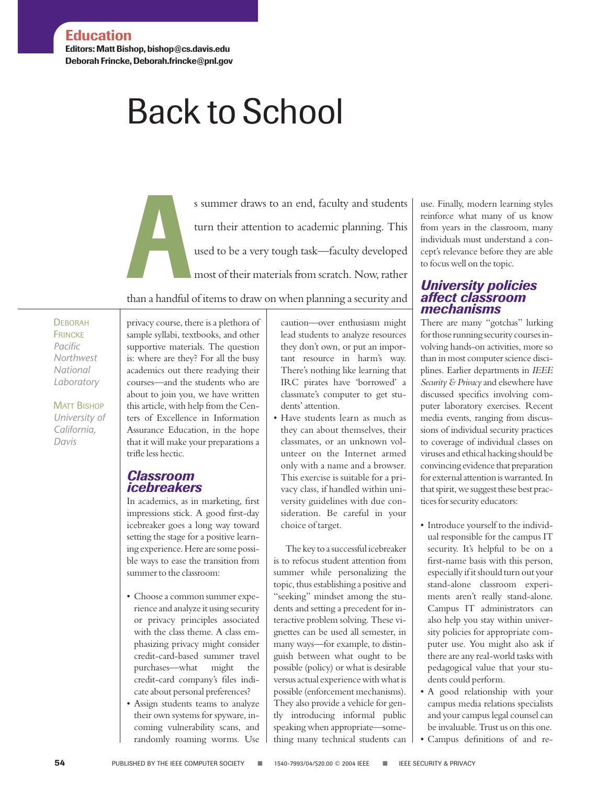**Editors: Matt Bishop, bishop@cs.davis.edu Deborah Frincke, Deborah.frincke@pnl.gov**

# Back to School

s summer draws to an end, faculty and students<br>turn their attention to academic planning. This<br>used to be a very tough task—faculty developed<br>most of their materials from scratch. Now, rather<br>than a handful of items to dra turn their attention to academic planning. This used to be a very tough task—faculty developed most of their materials from scratch. Now, rather

than a handful of items to draw on when planning a security and

**DEBORAH** FRINCKE *Pacific Northwest National Laboratory*

MATT BISHOP *University of California, Davis*

privacy course, there is a plethora of sample syllabi, textbooks, and other supportive materials. The question is: where are they? For all the busy academics out there readying their courses—and the students who are about to join you, we have written this article, with help from the Centers of Excellence in Information Assurance Education, in the hope that it will make your preparations a trifle less hectic.

### *Classroom icebreakers*

In academics, as in marketing, first impressions stick. A good first-day icebreaker goes a long way toward setting the stage for a positive learning experience. Here are some possible ways to ease the transition from summer to the classroom:

- Choose a common summer experience and analyze it using security or privacy principles associated with the class theme. A class emphasizing privacy might consider credit-card-based summer travel purchases—what might the credit-card company's files indicate about personal preferences?
- Assign students teams to analyze their own systems for spyware, incoming vulnerability scans, and randomly roaming worms. Use

caution—over enthusiasm might lead students to analyze resources they don't own, or put an important resource in harm's way. There's nothing like learning that IRC pirates have 'borrowed' a classmate's computer to get students' attention.

• Have students learn as much as they can about themselves, their classmates, or an unknown volunteer on the Internet armed only with a name and a browser. This exercise is suitable for a privacy class, if handled within university guidelines with due consideration. Be careful in your choice of target.

The key to a successful icebreaker is to refocus student attention from summer while personalizing the topic, thus establishing a positive and "seeking" mindset among the students and setting a precedent for interactive problem solving. These vignettes can be used all semester, in many ways—for example, to distinguish between what ought to be possible (policy) or what is desirable versus actual experience with what is possible (enforcement mechanisms). They also provide a vehicle for gently introducing informal public speaking when appropriate—something many technical students can use. Finally, modern learning styles reinforce what many of us know from years in the classroom, many individuals must understand a concept's relevance before they are able to focus well on the topic.

### *University policies affect classroom mechanisms*

There are many "gotchas" lurking for those running security courses involving hands-on activities, more so than in most computer science disciplines. Earlier departments in *IEEE Security & Privacy* and elsewhere have discussed specifics involving computer laboratory exercises. Recent media events, ranging from discussions of individual security practices to coverage of individual classes on viruses and ethical hacking should be convincing evidence that preparation for external attention is warranted. In that spirit, we suggest these best practices for security educators:

- Introduce yourself to the individual responsible for the campus IT security. It's helpful to be on a first-name basis with this person, especially if it should turn out your stand-alone classroom experiments aren't really stand-alone. Campus IT administrators can also help you stay within university policies for appropriate computer use. You might also ask if there are any real-world tasks with pedagogical value that your students could perform.
- A good relationship with your campus media relations specialists and your campus legal counsel can be invaluable. Trust us on this one.
- Campus definitions of and re-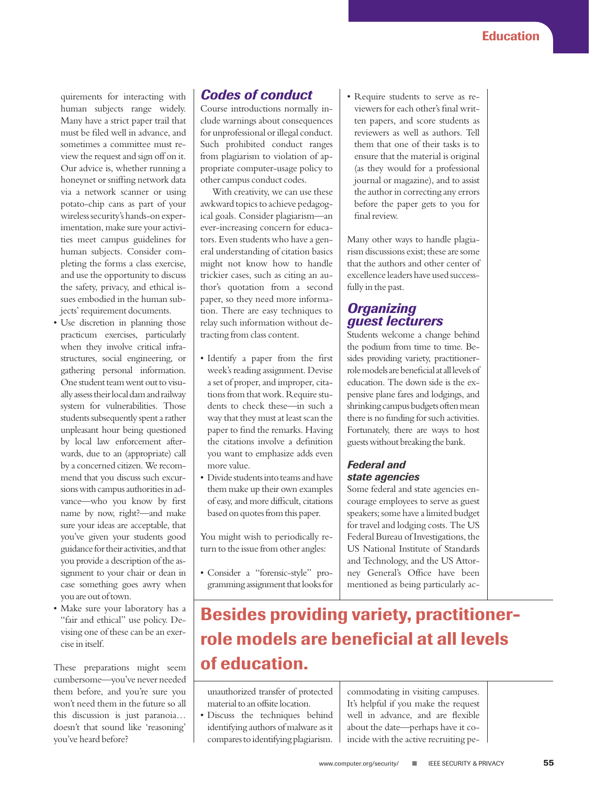quirements for interacting with human subjects range widely. Many have a strict paper trail that must be filed well in advance, and sometimes a committee must review the request and sign off on it. Our advice is, whether running a honeynet or sniffing network data via a network scanner or using potato-chip cans as part of your wireless security's hands-on experimentation, make sure your activities meet campus guidelines for human subjects. Consider completing the forms a class exercise, and use the opportunity to discuss the safety, privacy, and ethical issues embodied in the human subjects' requirement documents.

- Use discretion in planning those practicum exercises, particularly when they involve critical infrastructures, social engineering, or gathering personal information. One student team went out to visually assess their local dam and railway system for vulnerabilities. Those students subsequently spent a rather unpleasant hour being questioned by local law enforcement afterwards, due to an (appropriate) call by a concerned citizen. We recommend that you discuss such excursions with campus authorities in advance—who you know by first name by now, right?—and make sure your ideas are acceptable, that you've given your students good guidance for their activities, and that you provide a description of the assignment to your chair or dean in case something goes awry when you are out of town.
- Make sure your laboratory has a "fair and ethical" use policy. Devising one of these can be an exercise in itself.

These preparations might seem cumbersome—you've never needed them before, and you're sure you won't need them in the future so all this discussion is just paranoia… doesn't that sound like 'reasoning' you've heard before?

## *Codes of conduct*

Course introductions normally include warnings about consequences for unprofessional or illegal conduct. Such prohibited conduct ranges from plagiarism to violation of appropriate computer-usage policy to other campus conduct codes.

With creativity, we can use these awkward topics to achieve pedagogical goals*.* Consider plagiarism—an ever-increasing concern for educators. Even students who have a general understanding of citation basics might not know how to handle trickier cases, such as citing an author's quotation from a second paper, so they need more information. There are easy techniques to relay such information without detracting from class content.

- Identify a paper from the first week's reading assignment. Devise a set of proper, and improper, citations from that work. Require students to check these—in such a way that they must at least scan the paper to find the remarks. Having the citations involve a definition you want to emphasize adds even more value.
- Divide students into teams and have them make up their own examples of easy, and more difficult, citations based on quotes from this paper.

You might wish to periodically return to the issue from other angles:

• Consider a "forensic-style" programming assignment that looks for • Require students to serve as reviewers for each other's final written papers, and score students as reviewers as well as authors. Tell them that one of their tasks is to ensure that the material is original (as they would for a professional journal or magazine), and to assist the author in correcting any errors before the paper gets to you for final review.

Many other ways to handle plagiarism discussions exist; these are some that the authors and other center of excellence leaders have used successfully in the past.

### *Organizing guest lecturers*

Students welcome a change behind the podium from time to time. Besides providing variety, practitionerrole models are beneficial at all levels of education. The down side is the expensive plane fares and lodgings, and shrinking campus budgets often mean there is no funding for such activities. Fortunately, there are ways to host guests without breaking the bank.

### *Federal and state agencies*

Some federal and state agencies encourage employees to serve as guest speakers; some have a limited budget for travel and lodging costs. The US Federal Bureau of Investigations, the US National Institute of Standards and Technology, and the US Attorney General's Office have been mentioned as being particularly ac-

# **Besides providing variety, practitionerrole models are beneficial at all levels of education.**

unauthorized transfer of protected material to an offsite location.

• Discuss the techniques behind identifying authors of malware as it compares to identifying plagiarism.

commodating in visiting campuses. It's helpful if you make the request well in advance, and are flexible about the date—perhaps have it coincide with the active recruiting pe